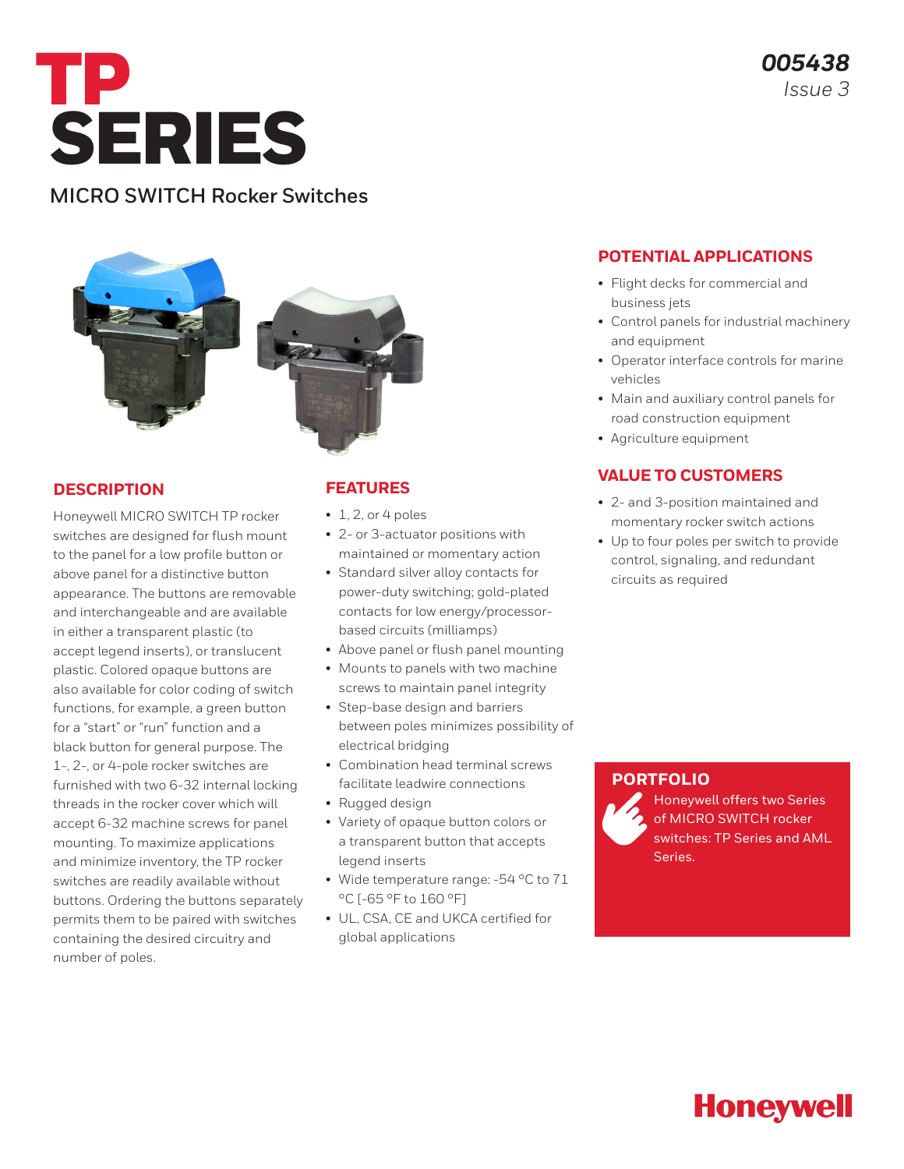

### **MICRO SWITCH Rocker Switches**





#### **DESCRIPTION**

Honeywell MICRO SWITCH TP rocker switches are designed for flush mount to the panel for a low profile button or above panel for a distinctive button appearance. The buttons are removable and interchangeable and are available in either a transparent plastic (to accept legend inserts), or translucent plastic. Colored opaque buttons are also available for color coding of switch functions, for example, a green button for a "start" or "run" function and a black button for general purpose. The 1-, 2-, or 4-pole rocker switches are furnished with two 6-32 internal locking threads in the rocker cover which will accept 6-32 machine screws for panel mounting. To maximize applications and minimize inventory, the TP rocker switches are readily available without buttons. Ordering the buttons separately permits them to be paired with switches containing the desired circuitry and number of poles.

### **FEATURES**

- $\cdot$  1, 2, or 4 poles
- 2- or 3-actuator positions with maintained or momentary action
- Standard silver alloy contacts for power-duty switching; gold-plated contacts for low energy/processorbased circuits (milliamps)
- Above panel or flush panel mounting
- Mounts to panels with two machine screws to maintain panel integrity • Step-base design and barriers
- between poles minimizes possibility of electrical bridging
- Combination head terminal screws facilitate leadwire connections
- Rugged design
- Variety of opaque button colors or a transparent button that accepts legend inserts
- Wide temperature range: -54 °C to 71 °C [-65 °F to 160 °F]
- UL, CSA, CE and UKCA certified for global applications

#### **POTENTIAL APPLICATIONS**

- Flight decks for commercial and business jets
- Control panels for industrial machinery and equipment
- Operator interface controls for marine vehicles
- Main and auxiliary control panels for road construction equipment
- Agriculture equipment

#### **VALUE TO CUSTOMERS**

- 2- and 3-position maintained and momentary rocker switch actions
- Up to four poles per switch to provide control, signaling, and redundant circuits as required

#### **[PORTFOLIO](https://sps.honeywell.com/us/en/products/sensing-and-iot/switches-and-controls/toggle-and-rocker-switches/rocker-switches)**

Honeywell offers two Series of MICRO SWITCH rocker switches: [TP Series](https://sensing.honeywell.com/switches/rocker-switches/TP-series) and [AML](https://sensing.honeywell.com/switches/rocker-switches/aml-series2)  [Series.](https://sensing.honeywell.com/switches/rocker-switches/aml-series2)

# **Honeywell**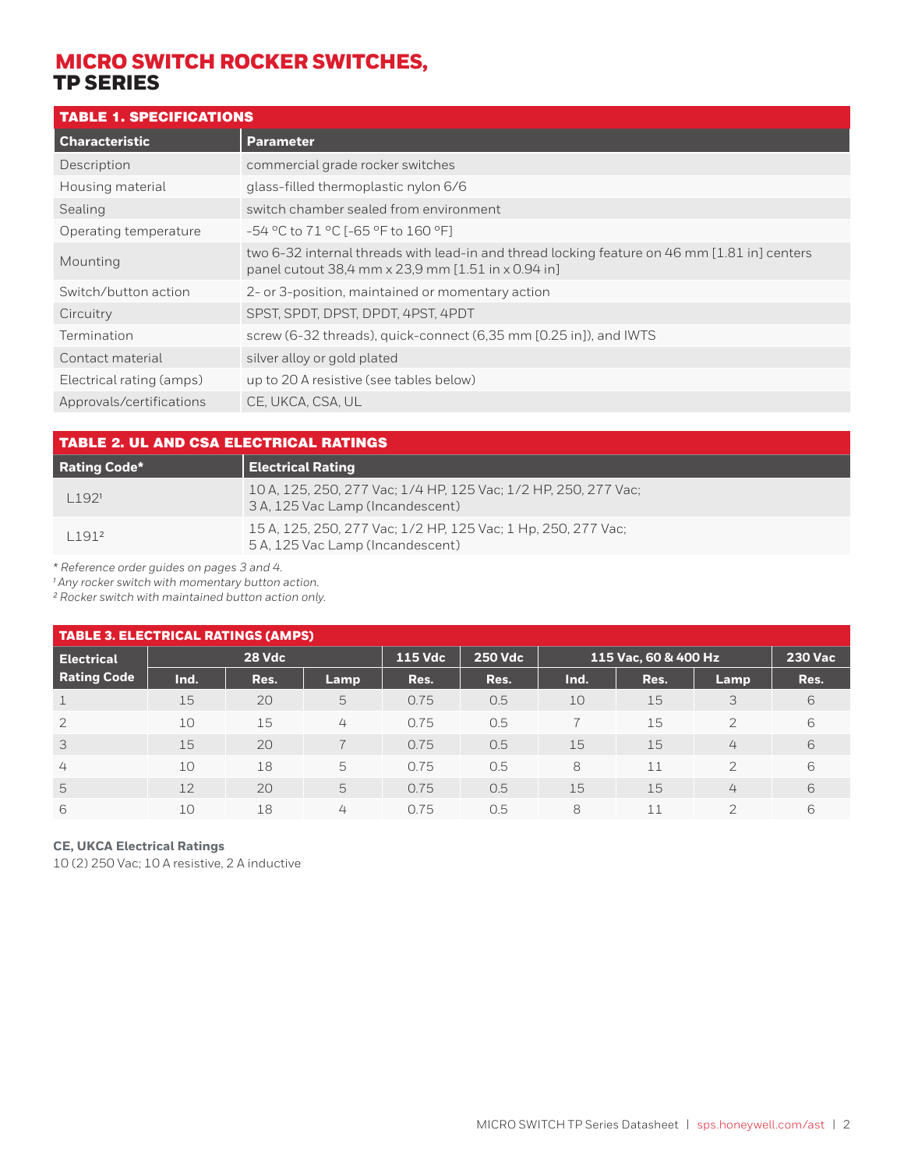### TABLE 1. SPECIFICATIONS

| <b>Parameter</b>                                                                                                                                   |
|----------------------------------------------------------------------------------------------------------------------------------------------------|
| commercial grade rocker switches                                                                                                                   |
| glass-filled thermoplastic nylon 6/6                                                                                                               |
| switch chamber sealed from environment                                                                                                             |
| -54 °C to 71 °C [-65 °F to 160 °F]                                                                                                                 |
| two 6-32 internal threads with lead-in and thread locking feature on 46 mm [1.81 in] centers<br>panel cutout 38,4 mm x 23,9 mm [1.51 in x 0.94 in] |
| 2- or 3-position, maintained or momentary action                                                                                                   |
| SPST, SPDT, DPST, DPDT, 4PST, 4PDT                                                                                                                 |
| screw (6-32 threads), quick-connect (6,35 mm [0.25 in]), and IWTS                                                                                  |
| silver alloy or gold plated                                                                                                                        |
| up to 20 A resistive (see tables below)                                                                                                            |
| CE, UKCA, CSA, UL                                                                                                                                  |
|                                                                                                                                                    |

| TABLE 2. UL AND CSA ELECTRICAL RATINGS |                                                                                                     |  |  |  |
|----------------------------------------|-----------------------------------------------------------------------------------------------------|--|--|--|
| <b>Rating Code*</b>                    | <b>Electrical Rating</b>                                                                            |  |  |  |
| 1.1921                                 | 10 A, 125, 250, 277 Vac; 1/4 HP, 125 Vac; 1/2 HP, 250, 277 Vac;<br>3 A, 125 Vac Lamp (Incandescent) |  |  |  |
| 11912                                  | 15 A, 125, 250, 277 Vac; 1/2 HP, 125 Vac; 1 Hp, 250, 277 Vac;<br>5 A, 125 Vac Lamp (Incandescent)   |  |  |  |

*\* Reference order guides on pages 3 and 4.*

*¹ Any rocker switch with momentary button action.*

*² Rocker switch with maintained button action only.*

| <b>TABLE 3. ELECTRICAL RATINGS (AMPS)</b> |               |      |                          |                |                |      |                      |                |                |
|-------------------------------------------|---------------|------|--------------------------|----------------|----------------|------|----------------------|----------------|----------------|
| <b>Electrical</b>                         | <b>28 Vdc</b> |      |                          | <b>115 Vdc</b> | <b>250 Vdc</b> |      | 115 Vac, 60 & 400 Hz |                | <u>230 Vac</u> |
| <b>Rating Code</b>                        | Ind.          | Res. | Lamp                     | Res.           | Res.           | Ind. | Res.                 | Lamp           | Res.           |
| $\mathbf{1}$                              | 15            | 20   | 5                        | 0.75           | 0.5            | 10   | 15                   | 3              | 6              |
| $\overline{2}$                            | 10            | 15   | 4                        | 0.75           | 0.5            |      | 15                   | $\mathcal{P}$  | 6              |
| $\overline{3}$                            | 15            | 20   | $\overline{\phantom{0}}$ | 0.75           | 0.5            | 15   | 15                   | 4              | 6              |
| $\overline{4}$                            | 10            | 18   | 5                        | 0.75           | 0.5            | 8    | 11                   | $\mathcal{L}$  | 6              |
| -5                                        | 12            | 20   | 5                        | 0.75           | 0.5            | 15   | 15                   | 4              | 6              |
| 6                                         | 10            | 18   | 4                        | 0.75           | 0.5            | 8    | 11                   | $\overline{2}$ | 6              |

#### **CE, UKCA Electrical Ratings**

10 (2) 250 Vac; 10 A resistive, 2 A inductive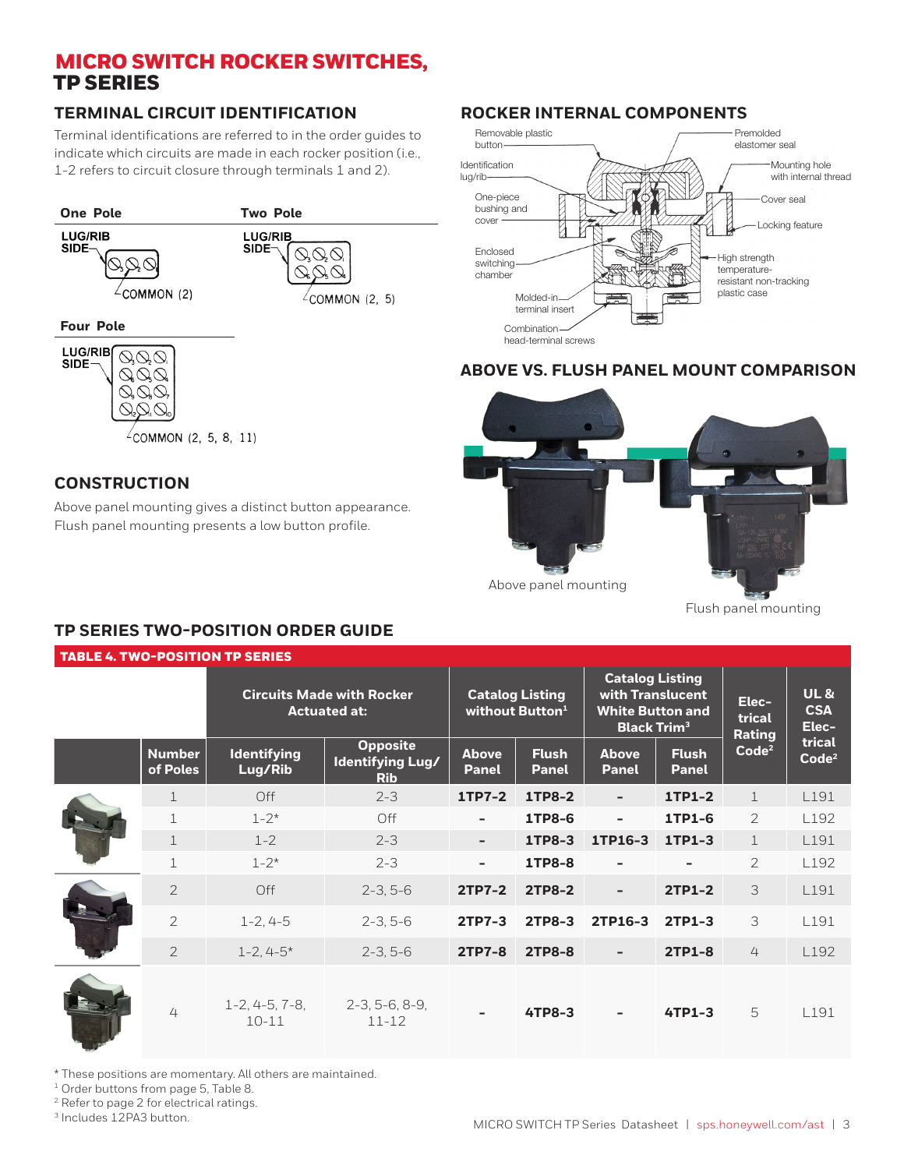### **TERMINAL CIRCUIT IDENTIFICATION**

Terminal identifications are referred to in the order guides to indicate which circuits are made in each rocker position (i.e., 1-2 refers to circuit closure through terminals 1 and 2).





 $\sqrt{2}$ COMMON (2, 5, 8, 11)

### **CONSTRUCTION**

Above panel mounting gives a distinct button appearance. Flush panel mounting presents a low button profile.

### **ROCKER INTERNAL COMPONENTS**



#### **ABOVE VS. FLUSH PANEL MOUNT COMPARISON**



Flush panel mounting

### **TP SERIES TWO-POSITION ORDER GUIDE**

|--|

| <b>Circuits Made with Rocker</b><br><b>Actuated at:</b> |                           |                               |                                                   | <b>Catalog Listing</b><br>without Button <sup>1</sup> | <b>Catalog Listing</b><br>with Translucent<br><b>White Button and</b><br><b>Black Trim<sup>3</sup></b> |                              | Elec-<br>trical<br>Rating    | <b>UL&amp;</b><br><b>CSA</b><br>Elec- |                             |
|---------------------------------------------------------|---------------------------|-------------------------------|---------------------------------------------------|-------------------------------------------------------|--------------------------------------------------------------------------------------------------------|------------------------------|------------------------------|---------------------------------------|-----------------------------|
|                                                         | <b>Number</b><br>of Poles | <b>Identifying</b><br>Lug/Rib | <b>Opposite</b><br>Identifying Lug/<br><b>Rib</b> | <b>Above</b><br><b>Panel</b>                          | <b>Flush</b><br><b>Panel</b>                                                                           | <b>Above</b><br><b>Panel</b> | <b>Flush</b><br><b>Panel</b> | Code <sup>2</sup>                     | trical<br>Code <sup>2</sup> |
|                                                         | $\mathbf{1}$              | Off                           | $2 - 3$                                           | 1TP7-2                                                | <b>1TP8-2</b>                                                                                          | $\blacksquare$               | 1TP1-2                       | $\mathbf{1}$                          | L191                        |
|                                                         | $\mathbf 1$               | $1 - 2^*$                     | Off                                               | ٠                                                     | 1TP8-6                                                                                                 | $\overline{\phantom{a}}$     | 1TP1-6                       | $\overline{2}$                        | L <sub>192</sub>            |
|                                                         | $\mathbf 1$               | $1 - 2$                       | $2 - 3$                                           | $\overline{\phantom{a}}$                              | <b>1TP8-3</b>                                                                                          | 1TP16-3                      | 1TP1-3                       | $\mathbf 1$                           | L191                        |
|                                                         | $\mathbf 1$               | $1 - 2^*$                     | $2 - 3$                                           | $\overline{\phantom{a}}$                              | <b>1TP8-8</b>                                                                                          | $\overline{\phantom{a}}$     |                              | 2                                     | L192                        |
|                                                         | $\overline{2}$            | Off                           | $2-3, 5-6$                                        | <b>2TP7-2</b>                                         | <b>2TP8-2</b>                                                                                          | $\overline{\phantom{a}}$     | <b>2TP1-2</b>                | 3                                     | L191                        |
|                                                         | $\overline{2}$            | $1 - 2, 4 - 5$                | $2-3, 5-6$                                        | 2TP7-3                                                | <b>2TP8-3</b>                                                                                          | 2TP16-3                      | 2TP1-3                       | 3                                     | L191                        |
|                                                         | $\overline{2}$            | $1 - 2, 4 - 5*$               | $2-3, 5-6$                                        | <b>2TP7-8</b>                                         | <b>2TP8-8</b>                                                                                          |                              | <b>2TP1-8</b>                | 4                                     | L <sub>192</sub>            |
|                                                         | 4                         | $1-2, 4-5, 7-8,$<br>$10 - 11$ | $2-3, 5-6, 8-9,$<br>$11 - 12$                     |                                                       | <b>4TP8-3</b>                                                                                          |                              | 4TP1-3                       | 5                                     | L191                        |

\* These positions are momentary. All others are maintained.

<sup>1</sup> Order buttons from page 5, Table 8.

2 Refer to page 2 for electrical ratings.

<sup>3</sup> Includes 12PA3 button.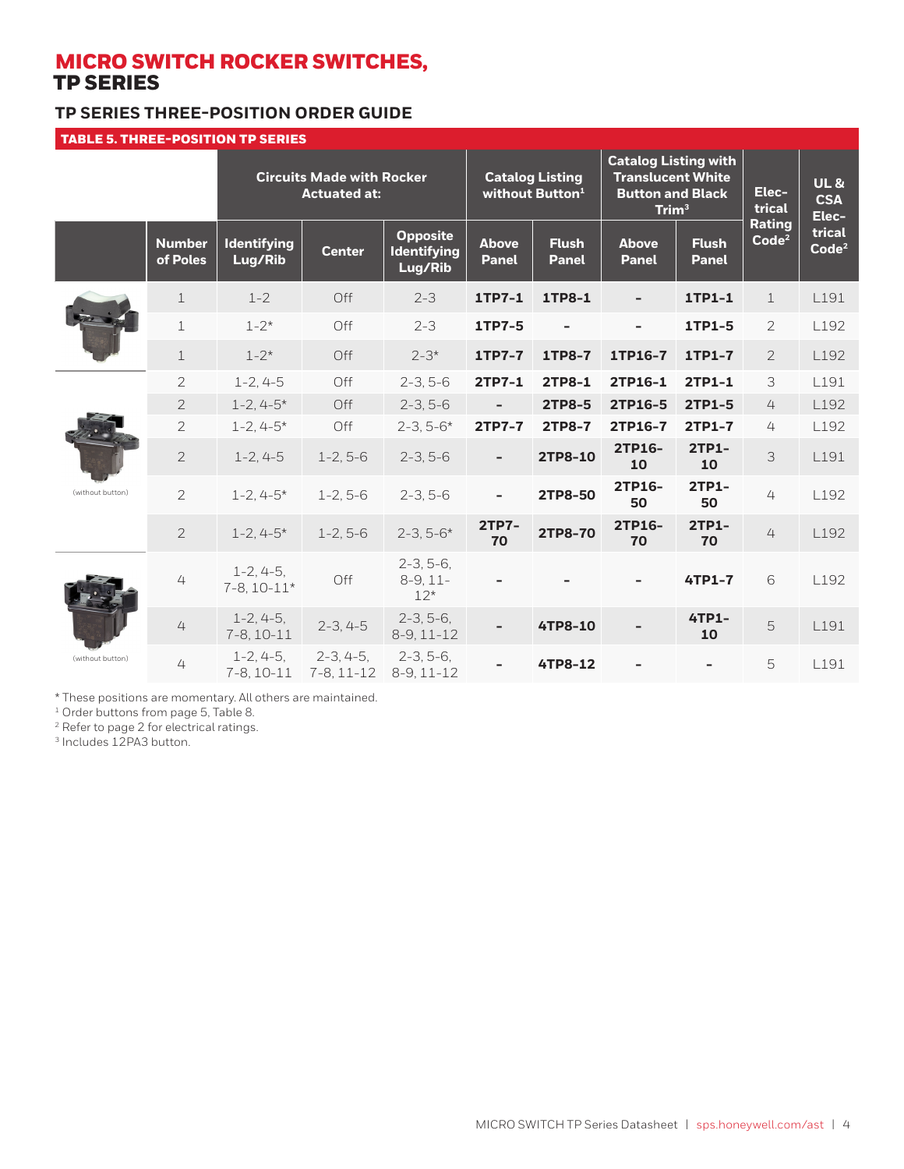### **TP SERIES THREE-POSITION ORDER GUIDE**

| <b>TABLE 5. THREE-POSITION TP SERIES</b> |                           |                                 |                                                         |                                                  |                              |                                                       |                                                                                                   |                              |                                    |                                       |
|------------------------------------------|---------------------------|---------------------------------|---------------------------------------------------------|--------------------------------------------------|------------------------------|-------------------------------------------------------|---------------------------------------------------------------------------------------------------|------------------------------|------------------------------------|---------------------------------------|
|                                          |                           |                                 | <b>Circuits Made with Rocker</b><br><b>Actuated at:</b> |                                                  |                              | <b>Catalog Listing</b><br>without Button <sup>1</sup> | <b>Catalog Listing with</b><br><b>Translucent White</b><br><b>Button and Black</b><br>$T$ rim $3$ |                              | Elec-<br>trical                    | <b>UL&amp;</b><br><b>CSA</b><br>Elec- |
|                                          | <b>Number</b><br>of Poles | <b>Identifying</b><br>Lug/Rib   | <b>Center</b>                                           | <b>Opposite</b><br><b>Identifying</b><br>Lug/Rib | <b>Above</b><br><b>Panel</b> | <b>Flush</b><br><b>Panel</b>                          | <b>Above</b><br><b>Panel</b>                                                                      | <b>Flush</b><br><b>Panel</b> | <b>Rating</b><br>Code <sup>2</sup> | trical<br>Code <sup>2</sup>           |
|                                          | $\perp$                   | $1 - 2$                         | Off                                                     | $2 - 3$                                          | 1TP7-1                       | 1TP8-1                                                |                                                                                                   | 1TP1-1                       | $\mathbf{1}$                       | L191                                  |
|                                          | $\mathbf 1$               | $1 - 2*$                        | Off                                                     | $2 - 3$                                          | 1TP7-5                       |                                                       | $\qquad \qquad \blacksquare$                                                                      | 1TP1-5                       | 2                                  | L192                                  |
|                                          | $\mathbf{1}$              | $1 - 2*$                        | Off                                                     | $2 - 3*$                                         | <b>1TP7-7</b>                | <b>1TP8-7</b>                                         | 1TP16-7                                                                                           | 1TP1-7                       | $\overline{2}$                     | L <sub>192</sub>                      |
|                                          | $\overline{2}$            | $1 - 2, 4 - 5$                  | Off                                                     | $2-3, 5-6$                                       | 2TP7-1                       | 2TP8-1                                                | 2TP16-1                                                                                           | 2TP1-1                       | 3                                  | L191                                  |
|                                          | $\overline{2}$            | $1 - 2, 4 - 5*$                 | Off                                                     | $2-3, 5-6$                                       | $\overline{a}$               | 2TP8-5                                                | 2TP16-5                                                                                           | 2TP1-5                       | 4                                  | L192                                  |
|                                          | $\overline{c}$            | $1 - 2, 4 - 5*$                 | Off                                                     | $2 - 3, 5 - 6*$                                  | 2TP7-7                       | <b>2TP8-7</b>                                         | 2TP16-7                                                                                           | <b>2TP1-7</b>                | 4                                  | L192                                  |
|                                          | $\overline{2}$            | $1 - 2, 4 - 5$                  | $1 - 2, 5 - 6$                                          | $2-3, 5-6$                                       | ÷,                           | 2TP8-10                                               | 2TP16-<br>10                                                                                      | <b>2TP1-</b><br>10           | $\overline{3}$                     | L191                                  |
| (without button)                         | $\overline{2}$            | $1 - 2, 4 - 5*$                 | $1 - 2, 5 - 6$                                          | $2-3, 5-6$                                       | ÷,                           | 2TP8-50                                               | 2TP16-<br>50                                                                                      | 2TP1-<br>50                  | 4                                  | L192                                  |
|                                          | $\overline{2}$            | $1 - 2.4 - 5*$                  | $1 - 2.5 - 6$                                           | $2 - 3, 5 - 6*$                                  | 2TP7-<br>70                  | 2TP8-70                                               | 2TP16-<br>70                                                                                      | 2TP1-<br>70                  | 4                                  | L192                                  |
|                                          | 4                         | $1-2, 4-5,$<br>$7-8, 10-11*$    | Off                                                     | $2-3, 5-6,$<br>$8-9, 11-$<br>$12*$               |                              |                                                       |                                                                                                   | 4TP1-7                       | 6                                  | L192                                  |
|                                          | 4                         | $1 - 2, 4 - 5,$<br>$7-8, 10-11$ | $2-3, 4-5$                                              | $2-3, 5-6,$<br>$8-9, 11-12$                      | L,                           | 4TP8-10                                               |                                                                                                   | 4TP1-<br>10                  | 5                                  | L191                                  |
| (without button)                         | 4                         | $1-2, 4-5,$<br>$7-8, 10-11$     | $2-3, 4-5,$<br>$7-8, 11-12$                             | $2-3, 5-6,$<br>$8-9, 11-12$                      |                              | 4TP8-12                                               |                                                                                                   |                              | 5                                  | L191                                  |

\* These positions are momentary. All others are maintained.

<sup>1</sup> Order buttons from page 5, Table 8.

<sup>2</sup> Refer to page 2 for electrical ratings.

3 Includes 12PA3 button.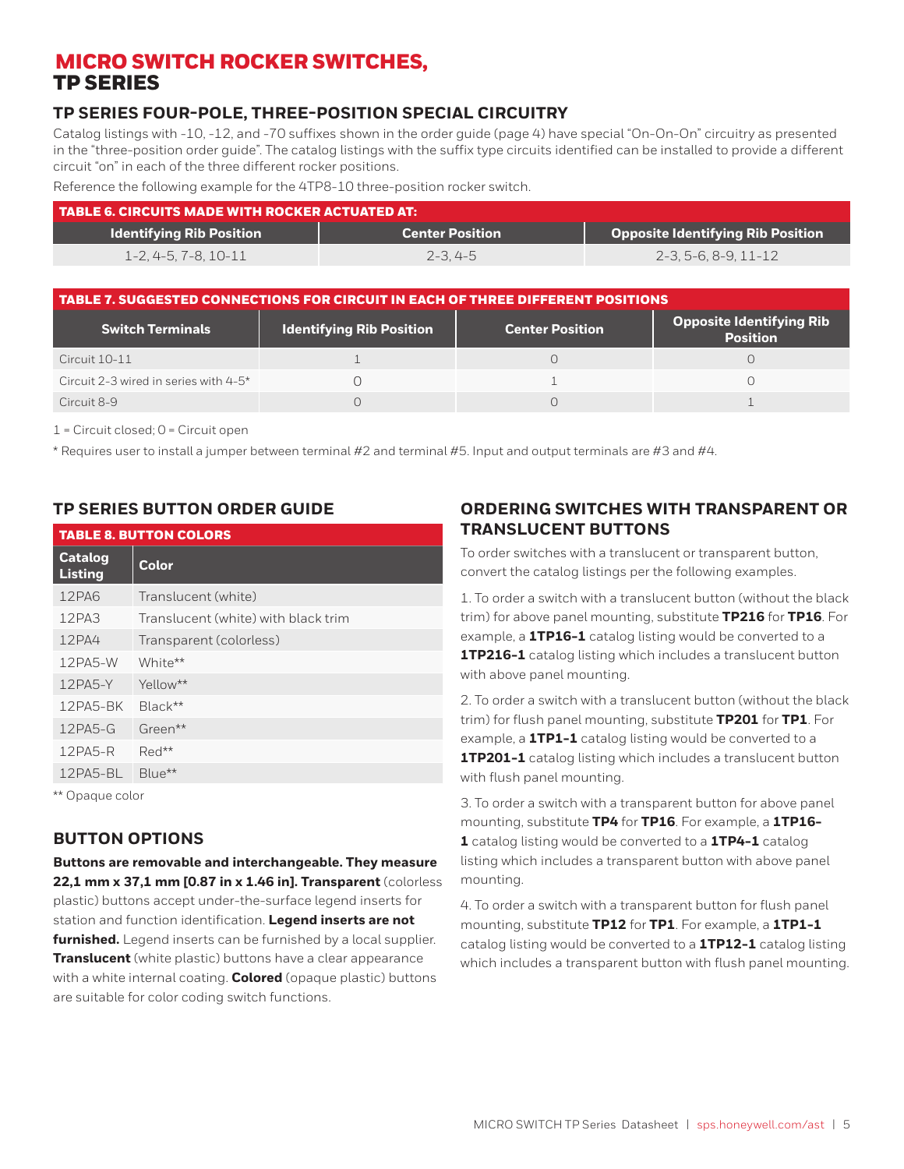### **TP SERIES FOUR-POLE, THREE-POSITION SPECIAL CIRCUITRY**

Catalog listings with -10, -12, and -70 suffixes shown in the order guide (page 4) have special "On-On-On" circuitry as presented in the "three-position order guide". The catalog listings with the suffix type circuits identified can be installed to provide a different circuit "on" in each of the three different rocker positions.

Reference the following example for the 4TP8-10 three-position rocker switch.

| TABLE 6. CIRCUITS MADE WITH ROCKER ACTUATED AT: |                        |                                          |  |  |
|-------------------------------------------------|------------------------|------------------------------------------|--|--|
| <b>Identifying Rib Position</b>                 | <b>Center Position</b> | <b>Opposite Identifying Rib Position</b> |  |  |
| $1 - 2, 4 - 5, 7 - 8, 10 - 11$                  | $2 - 3.4 - 5$          | 2-3.5-6.8-9.11-12                        |  |  |

| TABLE 7. SUGGESTED CONNECTIONS FOR CIRCUIT IN EACH OF THREE DIFFERENT POSITIONS |                                 |                        |                                             |  |  |  |
|---------------------------------------------------------------------------------|---------------------------------|------------------------|---------------------------------------------|--|--|--|
| <b>Switch Terminals</b>                                                         | <b>Identifying Rib Position</b> | <b>Center Position</b> | Opposite Identifying Rib<br><b>Position</b> |  |  |  |
| Circuit 10-11                                                                   |                                 |                        |                                             |  |  |  |
| Circuit 2-3 wired in series with 4-5*                                           |                                 |                        |                                             |  |  |  |
| Circuit 8-9                                                                     |                                 |                        |                                             |  |  |  |

 $1 =$  Circuit closed;  $0 =$  Circuit open

\* Requires user to install a jumper between terminal #2 and terminal #5. Input and output terminals are #3 and #4.

#### **TP SERIES BUTTON ORDER GUIDE**

|                                                           | <b>TABLE 8. BUTTON COLORS</b>       |  |  |  |
|-----------------------------------------------------------|-------------------------------------|--|--|--|
| <b>Catalog</b><br><b>Listing</b>                          | <b>Color</b>                        |  |  |  |
| 12PA6                                                     | Translucent (white)                 |  |  |  |
| 12PA3                                                     | Translucent (white) with black trim |  |  |  |
| 12PA4                                                     | Transparent (colorless)             |  |  |  |
| 12PA5-W                                                   | White**                             |  |  |  |
| 12PA5-Y                                                   | Yellow**                            |  |  |  |
| 12PA5-BK                                                  | Black**                             |  |  |  |
| $12PAS-G$                                                 | Green**                             |  |  |  |
| 12PA5-R                                                   | $Red**$                             |  |  |  |
| 12PA5-BL                                                  | Blue**                              |  |  |  |
| $** \cap \circ \circ \circ \circ \circ \circ \circ \circ$ |                                     |  |  |  |

Opaque color

#### **BUTTON OPTIONS**

**Buttons are removable and interchangeable. They measure 22,1 mm x 37,1 mm [0.87 in x 1.46 in]. Transparent** (colorless plastic) buttons accept under-the-surface legend inserts for station and function identification. **Legend inserts are not furnished.** Legend inserts can be furnished by a local supplier. **Translucent** (white plastic) buttons have a clear appearance with a white internal coating. **Colored** (opaque plastic) buttons are suitable for color coding switch functions.

#### **ORDERING SWITCHES WITH TRANSPARENT OR TRANSLUCENT BUTTONS**

To order switches with a translucent or transparent button, convert the catalog listings per the following examples.

1. To order a switch with a translucent button (without the black trim) for above panel mounting, substitute **TP216** for **TP16**. For example, a **1TP16-1** catalog listing would be converted to a **1TP216-1** catalog listing which includes a translucent button with above panel mounting.

2. To order a switch with a translucent button (without the black trim) for flush panel mounting, substitute **TP201** for **TP1**. For example, a **1TP1-1** catalog listing would be converted to a **1TP201-1** catalog listing which includes a translucent button with flush panel mounting.

3. To order a switch with a transparent button for above panel mounting, substitute **TP4** for **TP16**. For example, a **1TP16- 1** catalog listing would be converted to a **1TP4-1** catalog listing which includes a transparent button with above panel mounting.

4. To order a switch with a transparent button for flush panel mounting, substitute **TP12** for **TP1**. For example, a **1TP1-1** catalog listing would be converted to a **1TP12-1** catalog listing which includes a transparent button with flush panel mounting.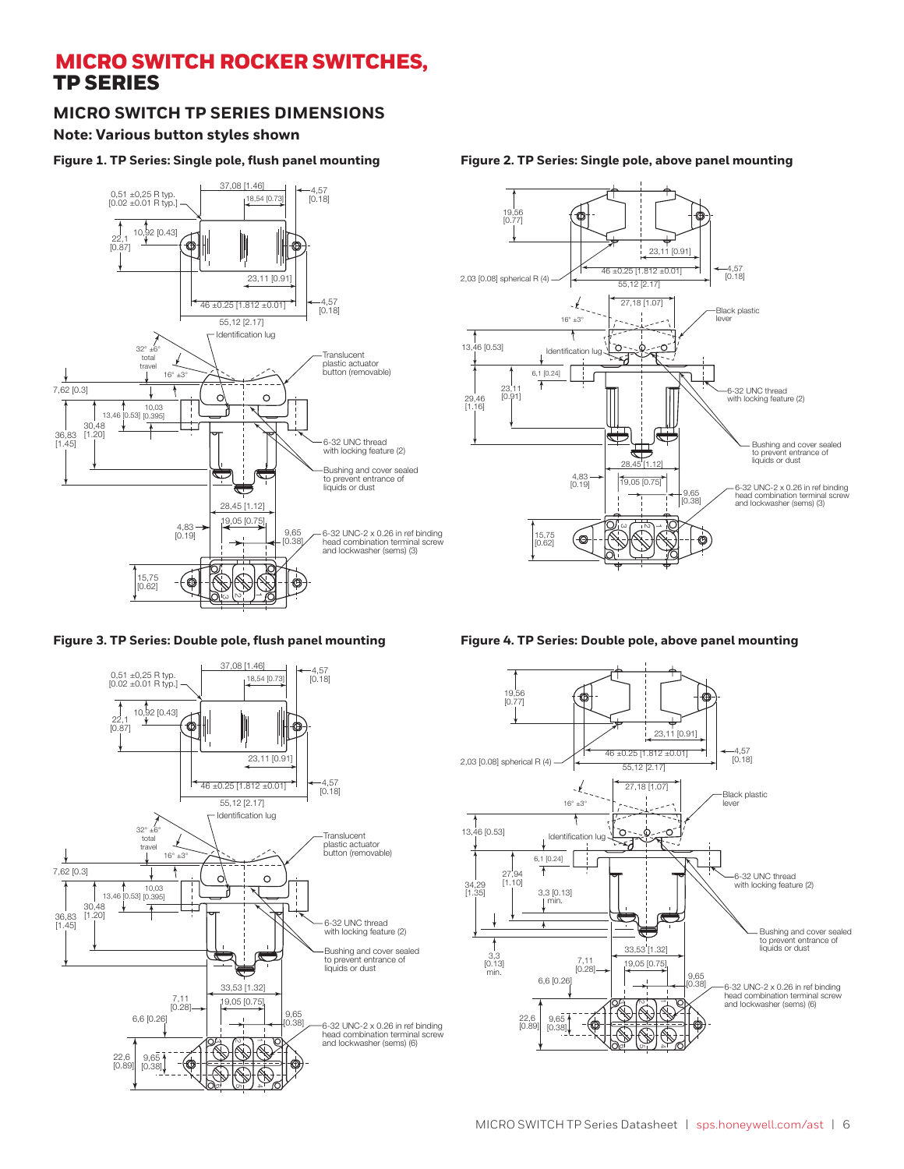### **MICRO SWITCH TP SERIES DIMENSIONS**

#### **Note: Various button styles shown**

#### **Figure 1. TP Series: Single pole, flush panel mounting**

![](_page_5_Figure_4.jpeg)

![](_page_5_Figure_6.jpeg)

![](_page_5_Figure_7.jpeg)

#### **Figure 2. TP Series: Single pole, above panel mounting**

![](_page_5_Figure_9.jpeg)

![](_page_5_Figure_10.jpeg)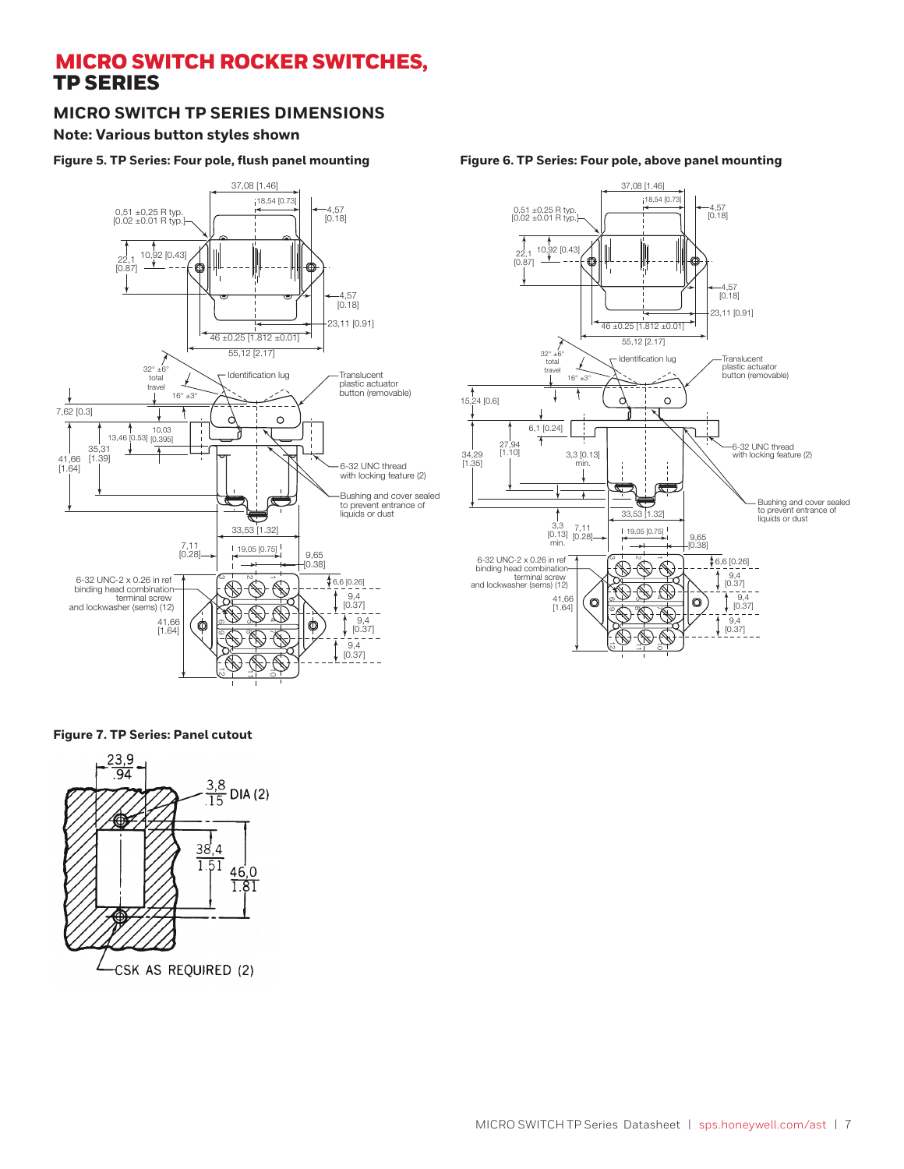#### **MICRO SWITCH TP SERIES DIMENSIONS**

#### **Note: Various button styles shown**

#### **Figure 5. TP Series: Four pole, flush panel mounting**

![](_page_6_Figure_4.jpeg)

![](_page_6_Figure_5.jpeg)

**Figure 7. TP Series: Panel cutout**

![](_page_6_Figure_7.jpeg)

**Figure 6. TP Series: Four pole, above panel mounting**